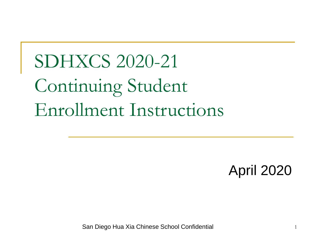SDHXCS 2020-21 Continuing Student Enrollment Instructions

April 2020

San Diego Hua Xia Chinese School Confidential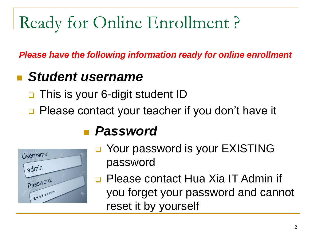# Ready for Online Enrollment ?

*Please have the following information ready for online enrollment*

#### *Student username*

- This is your 6-digit student ID
- □ Please contact your teacher if you don't have it



#### *Password*

- □ Your password is your EXISTING password
- **Please contact Hua Xia IT Admin if** you forget your password and cannot reset it by yourself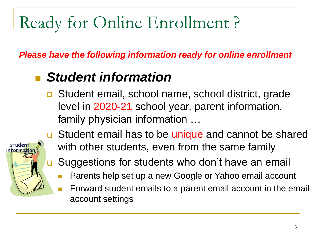# Ready for Online Enrollment ?

*Please have the following information ready for online enrollment*

#### *Student information*

**□** Student email, school name, school district, grade level in 2020-21 school year, parent information, family physician information …



- **□** Student email has to be unique and cannot be shared with other students, even from the same family
- **□** Suggestions for students who don't have an email
	- Parents help set up a new Google or Yahoo email account
	- Forward student emails to a parent email account in the email account settings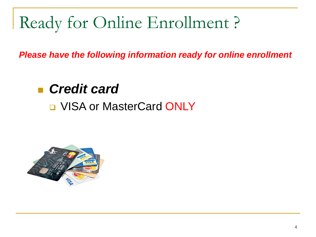# Ready for Online Enrollment ?

*Please have the following information ready for online enrollment*

#### *Credit card*

#### **Q VISA or MasterCard ONLY**

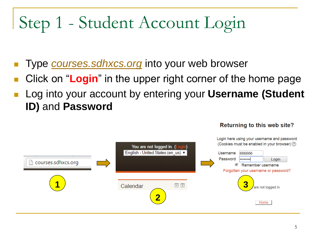# Step 1 - Student Account Login

- Type *[courses.sdhxcs.org](http://courses.sdhxcs.org/)* into your web browser
- Click on "**Login**" in the upper right corner of the home page
- Log into your account by entering your **Username (Student ID)** and **Password**



#### Returning to this web site?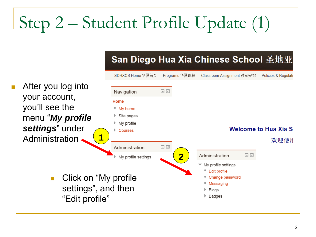# Step 2 – Student Profile Update (1)

SDHXCS Home 华夏首页 Programs 华夏课程 Classroom Assignment 教室安排 Policies & Regulati After you log into  $\Box$ Navigation your account, Home you'll see the " My home menu "*My profile*  Site pages  $\blacktriangleright$  My profile *settings*" under **Welcome to Hua Xia S** Courses **1** Administration 欢迎使月  $\Box$ Administration **2**Administration  $\Box$ My profile settings ▼ My profile settings **Edit profile**  Click on "My profile Change password Messaging settings", and then **Blogs** "Edit profile" Badges

San Diego Hua Xia Chinese School 圣地亚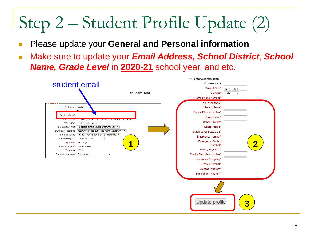# Step 2 – Student Profile Update (2)

- Please update your **General and Personal information**
- Make sure to update your *Email Address, School District*, *School Name, Grade Level* in **2020-21** school year, and etc.

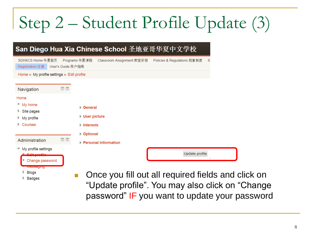# Step 2 – Student Profile Update (3)

#### San Diego Hua Xia Chinese School 圣地亚哥华夏中文学校

**Badges** 

| SDHXCS Home 华夏首页<br>Registration 注册                                                                                     | User's Guide 用户指南 | Programs 华夏课程                                                                | Classroom Assignment 教室安排 |                                                                | Policies & Regulations 规章制度 | <sub>S</sub> |
|-------------------------------------------------------------------------------------------------------------------------|-------------------|------------------------------------------------------------------------------|---------------------------|----------------------------------------------------------------|-----------------------------|--------------|
| Home ► My profile settings ► Edit profile                                                                               |                   |                                                                              |                           |                                                                |                             |              |
| Navigation                                                                                                              | $\Box$            |                                                                              |                           |                                                                |                             |              |
| Home<br>■ My home<br>Site pages<br>My profile<br>Courses<br>▶.                                                          |                   | ▶ General<br>▶ User picture<br>$\blacktriangleright$ Interests<br>▶ Optional |                           |                                                                |                             |              |
| Administration                                                                                                          | $\Box$            |                                                                              | Personal Information      |                                                                |                             |              |
| $\blacktriangleright$ My profile settings<br>Change password<br>٠<br><b>IVICSSAUIIIU</b><br>$\blacktriangleright$ Rings |                   |                                                                              |                           | and the contract<br><b>Contract Contract Contract Contract</b> | Update profile<br>٠<br>.    |              |

 Once you fill out all required fields and click on "Update profile". You may also click on "Change password" IF you want to update your password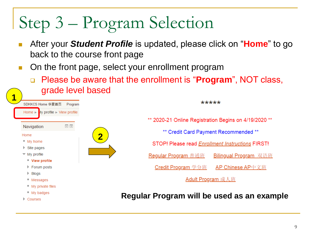# Step 3 – Program Selection

- After your *Student Profile* is updated, please click on "**Home**" to go back to the course front page
- On the front page, select your enrollment program
	- Please be aware that the enrollment is "**Program**", NOT class, grade level based



\*\*\*\*\* \*\* 2020-21 Online Registration Begins on 4/19/2020 \*\* \*\* Credit Card Payment Recommended \*\* STOP! Please read Enrollment Instructions FIRST! Regular Program 普通班 **Bilingual Program** 双语班 Credit Program 学分班 AP Chinese AP中文班 Adult Program 成人班

#### **Regular Program will be used as an example**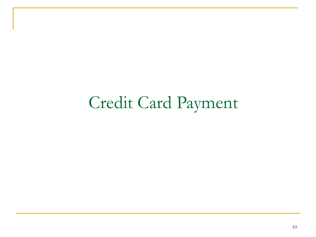## Credit Card Payment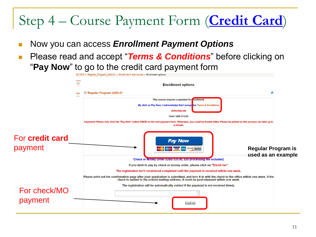### Step 4 – Course Payment Form (**Credit Card**)

- Now you can access *Enrollment Payment Options*
- Please read and accept "**Terms & Conditions**" before clicking on "**Pay Now**" to go to the credit card payment form

|                                   |     | 021学年 ▶ Regular Program 2020-21 ▶ Enroll me in this course ▶ Enrollment options                                                                                                                                                  |  |
|-----------------------------------|-----|----------------------------------------------------------------------------------------------------------------------------------------------------------------------------------------------------------------------------------|--|
|                                   |     | <b>Enrollment options</b>                                                                                                                                                                                                        |  |
|                                   | rse | Regular Program 2020-21<br>А                                                                                                                                                                                                     |  |
|                                   |     | This course requires a payment for nrollment.<br>By click on Pay Now, I acknowledge that I accept the Terms & Conditions<br><b>Authorize.net</b>                                                                                 |  |
|                                   |     | Cost: USD 515.00                                                                                                                                                                                                                 |  |
|                                   |     | Important! Please only click the "Pay Now" button ONCE on the next payment form. Otherwise, you could be double billed. Please be patient as this process can take up to<br>a minute.                                            |  |
| For <b>credit card</b><br>payment |     | <b>Pay Now</b><br><b>Regular Program is</b><br><b>DISCOVER BANK</b>                                                                                                                                                              |  |
|                                   |     | used as an example<br>Check or Money Order (USD 535.00, \$20 processing tee included)                                                                                                                                            |  |
|                                   |     | If you wish to pay by check or money order, please click on "Enroll me".                                                                                                                                                         |  |
|                                   |     | The registration isn't considered completed until the payment is received within one week.                                                                                                                                       |  |
|                                   |     | Please print out the confirmation page after your application is submitted, and turn it in with the check to the office within one week. If the<br>check is mailed to the school mailing address, it must be post-stamped within |  |
| For check/MO                      |     | The registration will be automatically voided if the payment is not received timely.                                                                                                                                             |  |
| payment                           |     | Enroll me                                                                                                                                                                                                                        |  |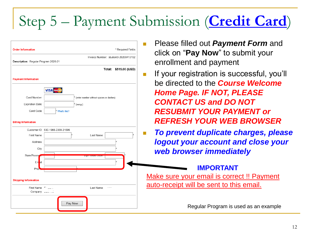### Step 5 – Payment Submission (**Credit Card**)

| Description: Regular Program 2020-21 |                                            | en             |
|--------------------------------------|--------------------------------------------|----------------|
|                                      | Total:                                     | \$515.00 (USD) |
| <b>Payment Information</b>           |                                            | If y           |
|                                      | <b>VISA</b>                                | be             |
| Card Number:                         | * (enter number without spaces or dashes)  | Hc             |
| Expiration Date:                     | $*$ (mmyy)                                 |                |
| Card Code:                           | * What's this?                             | <b>RE</b>      |
|                                      |                                            |                |
| <b>Billing Information</b>           |                                            | <b>RE</b>      |
|                                      | Customer ID: 630-1966-2389-21096           |                |
| First Name:<br>Address:              | Last Name:                                 | log            |
| City:                                |                                            |                |
| State/Provin                         |                                            |                |
| Em <b>ail:</b>                       |                                            |                |
| Pho                                  |                                            |                |
|                                      |                                            | <b>Make</b>    |
| <b>Shipping Information</b>          |                                            |                |
| First Name: "                        | $\dots$<br>Last Name:<br>Company: Juliania | auto-r         |

- ease filled out *Payment Form* and ck on "**Pay Now**" to submit your rollment and payment
- If your registration is successful, you'll be directed to the *Course Welcome Home Page. IF NOT, PLEASE CONTACT US and DO NOT RESUBMIT YOUR PAYMENT or REFRESH YOUR WEB BROWSER*
- *To prevent duplicate charges, please logout your account and close your web browser immediately*

#### **IMPORTANT**

sure your email is correct !! Payment receipt will be sent to this email.

Regular Program is used as an example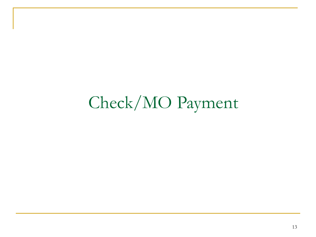## Check/MO Payment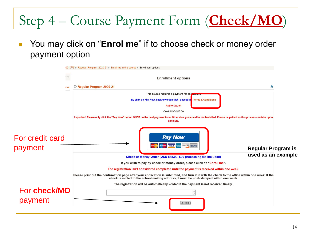### Step 4 – Course Payment Form (**Check/MO**)

 You may click on "**Enrol me**" if to choose check or money order payment option

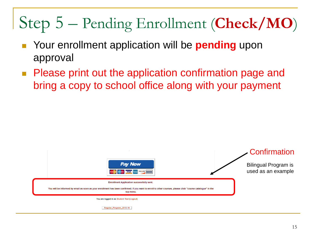# Step 5 – Pending Enrollment (**Check/MO**)

- Your enrollment application will be **pending** upon approval
- **Please print out the application confirmation page and** bring a copy to school office along with your payment

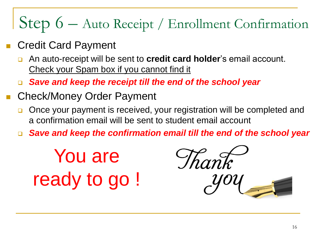# Step 6 – Auto Receipt / Enrollment Confirmation

- Credit Card Payment
	- An auto-receipt will be sent to **credit card holder**'s email account. Check your Spam box if you cannot find it
	- *Save and keep the receipt till the end of the school year*
- Check/Money Order Payment
	- □ Once your payment is received, your registration will be completed and a confirmation email will be sent to student email account
	- *Save and keep the confirmation email till the end of the school year*

You are ready to go !

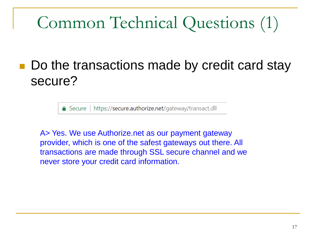# Common Technical Questions (1)

#### Do the transactions made by credit card stay secure?

△ Secure | https://secure.authorize.net/gateway/transact.dll

A> Yes. We use Authorize.net as our payment gateway provider, which is one of the safest gateways out there. All transactions are made through SSL secure channel and we never store your credit card information.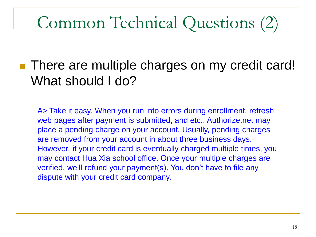# Common Technical Questions (2)

#### ■ There are multiple charges on my credit card! What should I do?

A> Take it easy. When you run into errors during enrollment, refresh web pages after payment is submitted, and etc., Authorize.net may place a pending charge on your account. Usually, pending charges are removed from your account in about three business days. However, if your credit card is eventually charged multiple times, you may contact Hua Xia school office. Once your multiple charges are verified, we'll refund your payment(s). You don't have to file any dispute with your credit card company.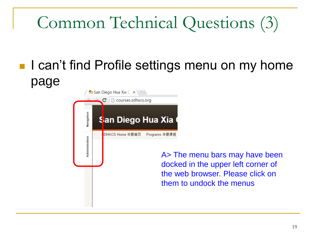# Common Technical Questions (3)

### ■ I can't find Profile settings menu on my home page



A> The menu bars may have been docked in the upper left corner of the web browser. Please click on them to undock the menus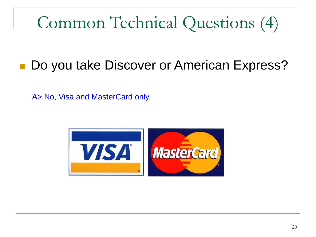# Common Technical Questions (4)

### ■ Do you take Discover or American Express?

A> No, Visa and MasterCard only.